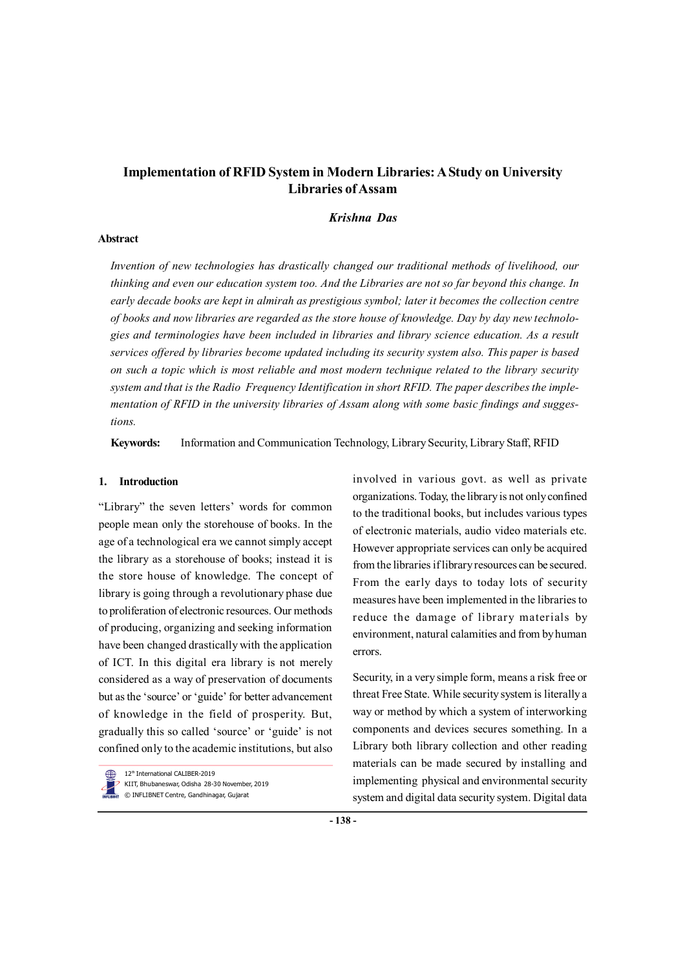# **Implementation of RFID System in Modern Libraries: A Study on University Libraries of Assam**

## *Krishna Das*

#### **Abstract**

*Invention of new technologies has drastically changed our traditional methods of livelihood, our thinking and even our education system too. And the Libraries are not so far beyond this change. In early decade books are kept in almirah as prestigious symbol; later it becomes the collection centre of books and now libraries are regarded as the store house of knowledge. Day by day new technologies and terminologies have been included in libraries and library science education. As a result services offered by libraries become updated including its security system also. This paper is based on such a topic which is most reliable and most modern technique related to the library security system and that is the Radio Frequency Identification in short RFID. The paper describes the implementation of RFID in the university libraries of Assam along with some basic findings and suggestions.*

**Keywords:** Information and Communication Technology, Library Security, Library Staff, RFID

#### **1. Introduction**

"Library" the seven letters' words for common people mean only the storehouse of books. In the age of a technological era we cannot simply accept the library as a storehouse of books; instead it is the store house of knowledge. The concept of library is going through a revolutionary phase due to proliferation of electronic resources. Our methods of producing, organizing and seeking information have been changed drastically with the application of ICT. In this digital era library is not merely considered as a way of preservation of documents but as the 'source' or 'guide' for better advancement of knowledge in the field of prosperity. But, gradually this so called 'source' or 'guide' is not confined only to the academic institutions, but also

12<sup>th</sup> International CALIBER-2019 KIIT, Bhubaneswar, Odisha 28-30 November, 2019

© INFLIBNET Centre, Gandhinagar, Gujarat

involved in various govt. as well as private organizations. Today, the library is not only confined to the traditional books, but includes various types of electronic materials, audio video materials etc. However appropriate services can only be acquired from the libraries if library resources can be secured. From the early days to today lots of security measures have been implemented in the libraries to reduce the damage of library materials by environment, natural calamities and from by human errors.

Security, in a very simple form, means a risk free or threat Free State. While security system is literally a way or method by which a system of interworking components and devices secures something. In a Library both library collection and other reading materials can be made secured by installing and implementing physical and environmental security system and digital data security system. Digital data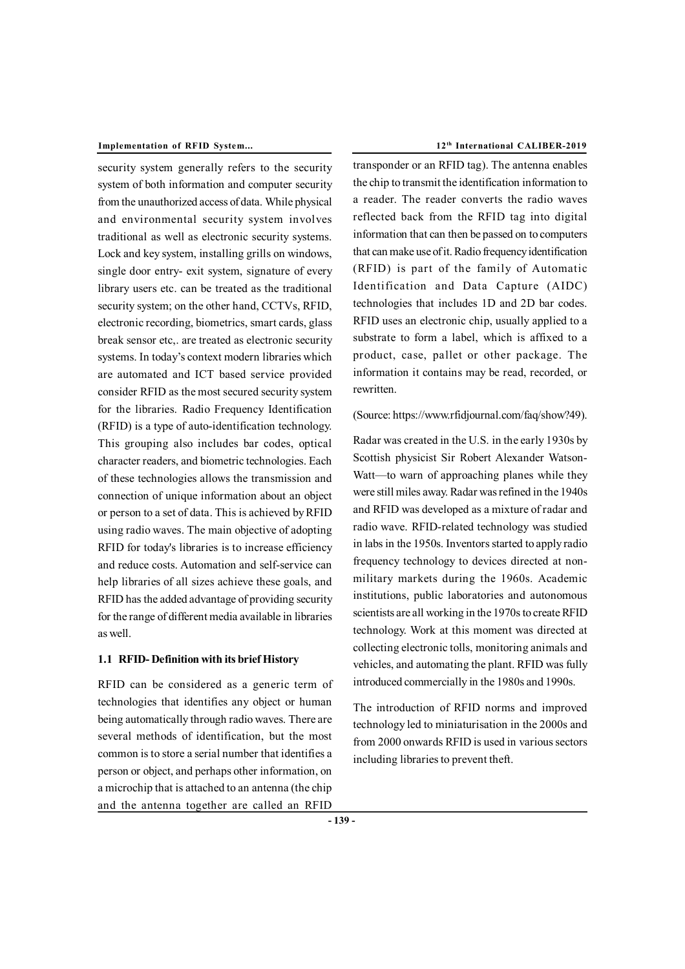#### **Implementation of RFID System... 12th International CALIBER-2019**

security system generally refers to the security system of both information and computer security from the unauthorized access of data. While physical and environmental security system involves traditional as well as electronic security systems. Lock and key system, installing grills on windows, single door entry- exit system, signature of every library users etc. can be treated as the traditional security system; on the other hand, CCTVs, RFID, electronic recording, biometrics, smart cards, glass break sensor etc,. are treated as electronic security systems. In today's context modern libraries which are automated and ICT based service provided consider RFID as the most secured security system for the libraries. Radio Frequency Identification (RFID) is a type of auto-identification technology. This grouping also includes bar codes, optical character readers, and biometric technologies. Each of these technologies allows the transmission and connection of unique information about an object or person to a set of data. This is achieved by RFID using radio waves. The main objective of adopting RFID for today's libraries is to increase efficiency and reduce costs. Automation and self-service can help libraries of all sizes achieve these goals, and RFID has the added advantage of providing security for the range of different media available in libraries as well.

#### **1.1 RFID- Definition with its brief History**

RFID can be considered as a generic term of technologies that identifies any object or human being automatically through radio waves. There are several methods of identification, but the most common is to store a serial number that identifies a person or object, and perhaps other information, on a microchip that is attached to an antenna (the chip and the antenna together are called an RFID

transponder or an RFID tag). The antenna enables the chip to transmit the identification information to a reader. The reader converts the radio waves reflected back from the RFID tag into digital information that can then be passed on to computers that can make use of it. Radio frequency identification (RFID) is part of the family of Automatic Identification and Data Capture (AIDC) technologies that includes 1D and 2D bar codes. RFID uses an electronic chip, usually applied to a substrate to form a label, which is affixed to a product, case, pallet or other package. The information it contains may be read, recorded, or rewritten.

### (Source: [https://www.rfidjournal.com/faq/show?49\).](https://www.rfidjournal.com/faq/show?49).)

Radar was created in the U.S. in the early 1930s by Scottish physicist Sir Robert Alexander Watson-Watt—to warn of approaching planes while they were still miles away. Radar was refined in the 1940s and RFID was developed as a mixture of radar and radio wave. RFID-related technology was studied in labs in the 1950s. Inventors started to apply radio frequency technology to devices directed at nonmilitary markets during the 1960s. Academic institutions, public laboratories and autonomous scientists are all working in the 1970s to create RFID technology. Work at this moment was directed at collecting electronic tolls, monitoring animals and vehicles, and automating the plant. RFID was fully introduced commercially in the 1980s and 1990s.

The introduction of RFID norms and improved technology led to miniaturisation in the 2000s and from 2000 onwards RFID is used in various sectors including libraries to prevent theft.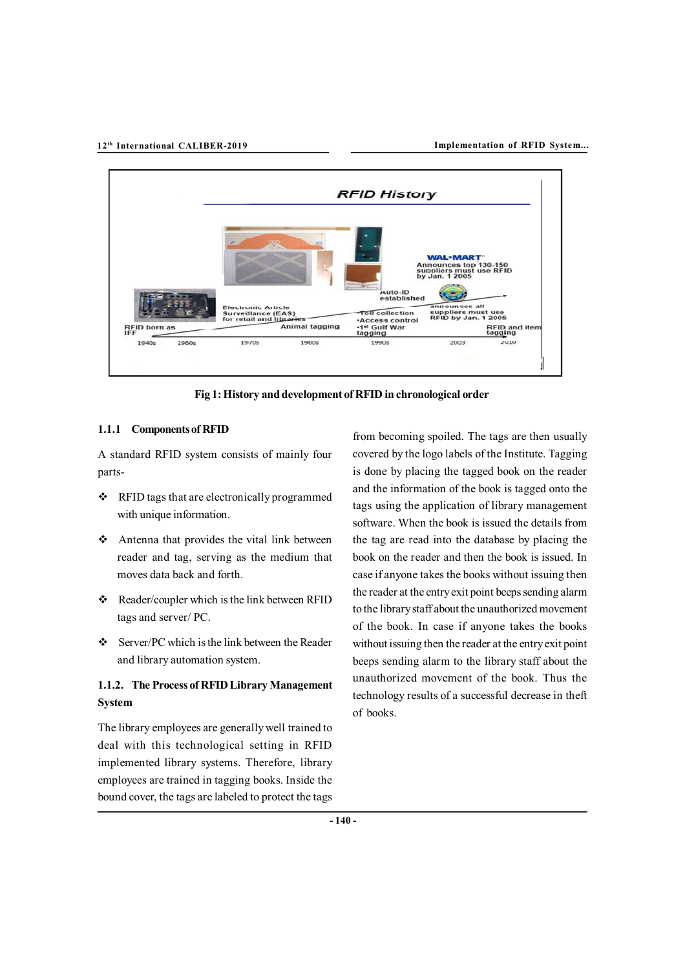

**Fig 1: History and development of RFID in chronological order**

#### **1.1.1 Components of RFID**

A standard RFID system consists of mainly four parts-

- RFID tags that are electronically programmed with unique information.
- Antenna that provides the vital link between reader and tag, serving as the medium that moves data back and forth.
- \* Reader/coupler which is the link between RFID tags and server/ PC.
- $\div$  Server/PC which is the link between the Reader and library automation system.

# **1.1.2. The Process of RFID Library Management System**

The library employees are generally well trained to deal with this technological setting in RFID implemented library systems. Therefore, library employees are trained in tagging books. Inside the bound cover, the tags are labeled to protect the tags from becoming spoiled. The tags are then usually covered by the logo labels of the Institute. Tagging is done by placing the tagged book on the reader and the information of the book is tagged onto the tags using the application of library management software. When the book is issued the details from the tag are read into the database by placing the book on the reader and then the book is issued. In case if anyone takes the books without issuing then the reader at the entry exit point beeps sending alarm to the library staff about the unauthorized movement of the book. In case if anyone takes the books without issuing then the reader at the entry exit point beeps sending alarm to the library staff about the unauthorized movement of the book. Thus the technology results of a successful decrease in theft of books.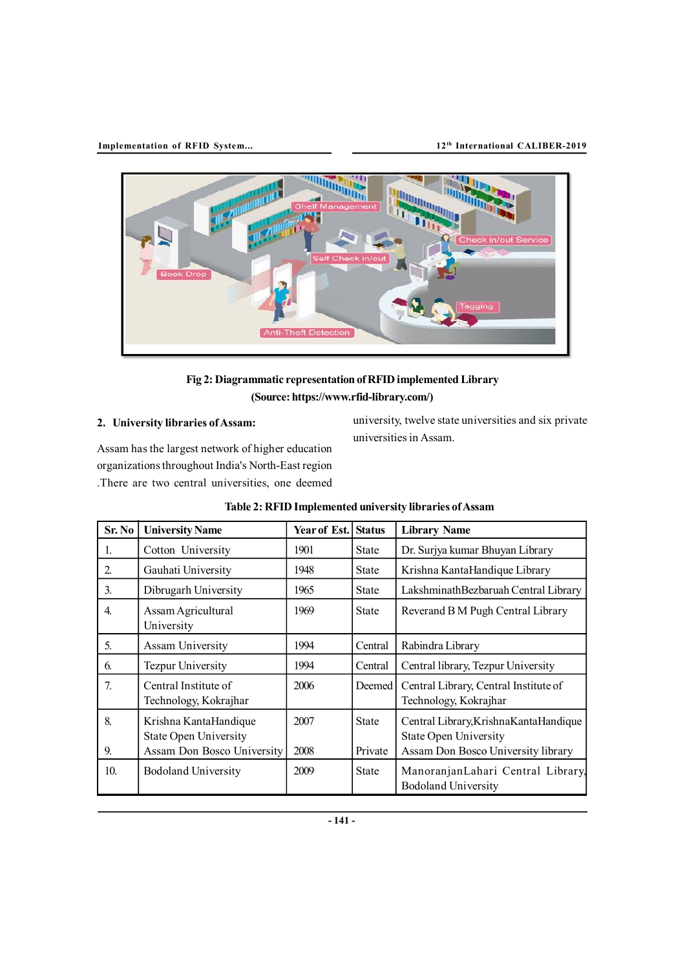

# **Fig 2: Diagrammatic representation of RFID implemented Library (Source: [https://www.rfid-library.com/\)](https://www.rfid-library.com/))**

## **2. University libraries of Assam:**

Assam has the largest network of higher education organizations throughout India's North-East region .There are two central universities, one deemed

university, twelve state universities and six private universities in Assam.

| Sr. No           | <b>University Name</b>                                | Year of Est. Status |              | <b>Library Name</b>                                                     |
|------------------|-------------------------------------------------------|---------------------|--------------|-------------------------------------------------------------------------|
| 1.               | Cotton University                                     | 1901                | <b>State</b> | Dr. Surjya kumar Bhuyan Library                                         |
| 2.               | Gauhati University                                    | 1948                | <b>State</b> | Krishna KantaHandique Library                                           |
| 3.               | Dibrugarh University                                  | 1965                | <b>State</b> | LakshminathBezbaruah Central Library                                    |
| $\overline{4}$ . | Assam Agricultural<br>University                      | 1969                | <b>State</b> | Reverand B M Pugh Central Library                                       |
| 5 <sub>1</sub>   | Assam University                                      | 1994                | Central      | Rabindra Library                                                        |
| 6.               | <b>Tezpur University</b>                              | 1994                | Central      | Central library, Tezpur University                                      |
| 7.               | Central Institute of<br>Technology, Kokrajhar         | 2006                | Deemed       | Central Library, Central Institute of<br>Technology, Kokrajhar          |
| 8.               | Krishna KantaHandique<br><b>State Open University</b> | 2007                | <b>State</b> | Central Library, Krishna Kanta Handique<br><b>State Open University</b> |
| 9.               | Assam Don Bosco University                            | 2008                | Private      | Assam Don Bosco University library                                      |
| 10 <sub>l</sub>  | <b>Bodoland University</b>                            | 2009                | <b>State</b> | ManoranjanLahari Central Library,<br><b>Bodoland University</b>         |

| Table 2: RFID Implemented university libraries of Assam |  |  |  |
|---------------------------------------------------------|--|--|--|
|---------------------------------------------------------|--|--|--|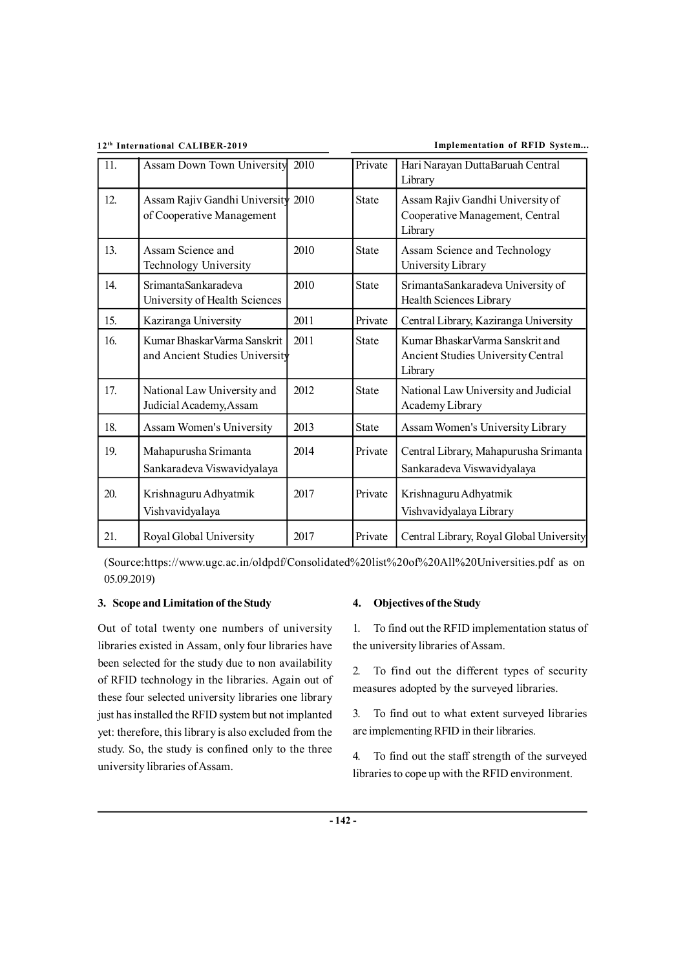**12th International CALIBER-2019 Implementation of RFID System...**

| 11. | Assam Down Town University                                      | 2010 | Private      | Hari Narayan DuttaBaruah Central<br>Library                                       |
|-----|-----------------------------------------------------------------|------|--------------|-----------------------------------------------------------------------------------|
| 12. | Assam Rajiv Gandhi University 2010<br>of Cooperative Management |      | <b>State</b> | Assam Rajiv Gandhi University of<br>Cooperative Management, Central<br>Library    |
| 13. | Assam Science and<br>Technology University                      | 2010 | <b>State</b> | Assam Science and Technology<br>University Library                                |
| 14. | SrimantaSankaradeva<br>University of Health Sciences            | 2010 | <b>State</b> | SrimantaSankaradeva University of<br>Health Sciences Library                      |
| 15. | Kaziranga University                                            | 2011 | Private      | Central Library, Kaziranga University                                             |
| 16. | Kumar Bhaskar Varma Sanskrit<br>and Ancient Studies University  | 2011 | <b>State</b> | Kumar Bhaskar Varma Sanskrit and<br>Ancient Studies University Central<br>Library |
| 17. | National Law University and<br>Judicial Academy, Assam          | 2012 | <b>State</b> | National Law University and Judicial<br>Academy Library                           |
| 18. | Assam Women's University                                        | 2013 | <b>State</b> | Assam Women's University Library                                                  |
| 19. | Mahapurusha Srimanta<br>Sankaradeva Viswavidyalaya              | 2014 | Private      | Central Library, Mahapurusha Srimanta<br>Sankaradeva Viswavidyalaya               |
| 20. | Krishnaguru Adhyatmik<br>Vishvavidyalaya                        | 2017 | Private      | Krishnaguru Adhyatmik<br>Vishvavidyalaya Library                                  |
| 21. | Royal Global University                                         | 2017 | Private      | Central Library, Royal Global University                                          |

(Source:<https://www.ugc.ac.in/oldpdf/Consolidated%20list%20of%20All%20Universities.pdf> as on 05.09.2019)

## **3. Scope and Limitation of the Study**

Out of total twenty one numbers of university libraries existed in Assam, only four libraries have been selected for the study due to non availability of RFID technology in the libraries. Again out of these four selected university libraries one library just has installed the RFID system but not implanted yet: therefore, this library is also excluded from the study. So, the study is confined only to the three university libraries of Assam.

## **4. Objectives of the Study**

1. To find out the RFID implementation status of the university libraries of Assam.

2. To find out the different types of security measures adopted by the surveyed libraries.

3. To find out to what extent surveyed libraries are implementing RFID in their libraries.

4. To find out the staff strength of the surveyed libraries to cope up with the RFID environment.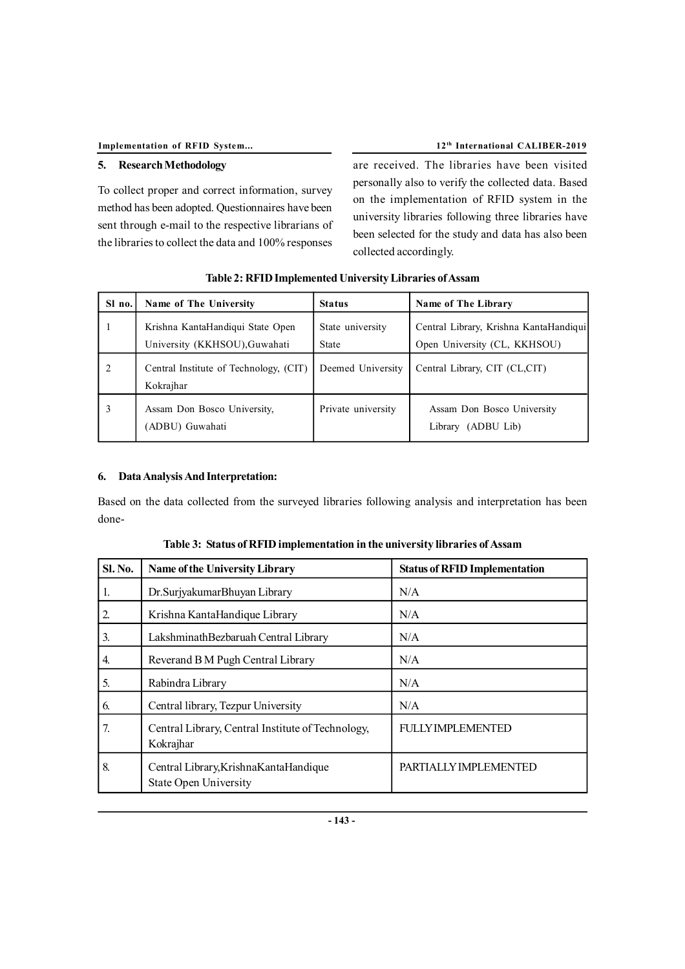## **5. Research Methodology**

To collect proper and correct information, survey method has been adopted. Questionnaires have been sent through e-mail to the respective librarians of the libraries to collect the data and 100% responses are received. The libraries have been visited personally also to verify the collected data. Based on the implementation of RFID system in the university libraries following three libraries have been selected for the study and data has also been collected accordingly.

| Sl no.                        | Name of The University                                            | <b>Status</b>             | Name of The Library                                                    |
|-------------------------------|-------------------------------------------------------------------|---------------------------|------------------------------------------------------------------------|
|                               | Krishna KantaHandiqui State Open<br>University (KKHSOU), Guwahati | State university<br>State | Central Library, Krishna KantaHandiqui<br>Open University (CL, KKHSOU) |
| $\mathfrak{D}_{\mathfrak{p}}$ | Central Institute of Technology, (CIT)<br>Kokrajhar               | Deemed University         | Central Library, CIT (CL,CIT)                                          |
|                               | Assam Don Bosco University,<br>(ADBU) Guwahati                    | Private university        | Assam Don Bosco University<br>Library (ADBU Lib)                       |

### **6. Data Analysis And Interpretation:**

Based on the data collected from the surveyed libraries following analysis and interpretation has been done-

| <b>Sl. No.</b>   | <b>Name of the University Library</b>                                   | <b>Status of RFID Implementation</b> |
|------------------|-------------------------------------------------------------------------|--------------------------------------|
| 1.               | Dr. Surjyakumar Bhuyan Library                                          | N/A                                  |
| 2.               | Krishna KantaHandique Library                                           | N/A                                  |
| 3.               | LakshminathBezbaruah Central Library                                    | N/A                                  |
| $\overline{4}$ . | Reverand B M Pugh Central Library                                       | N/A                                  |
| 5.               | Rabindra Library                                                        | N/A                                  |
| 6.               | Central library, Tezpur University                                      | N/A                                  |
| 7.               | Central Library, Central Institute of Technology,<br>Kokrajhar          | <b>FULLY IMPLEMENTED</b>             |
| 8.               | Central Library, Krishna Kanta Handique<br><b>State Open University</b> | PARTIALLY IMPLEMENTED                |

| Table 3: Status of RFID implementation in the university libraries of Assam |  |  |
|-----------------------------------------------------------------------------|--|--|
|                                                                             |  |  |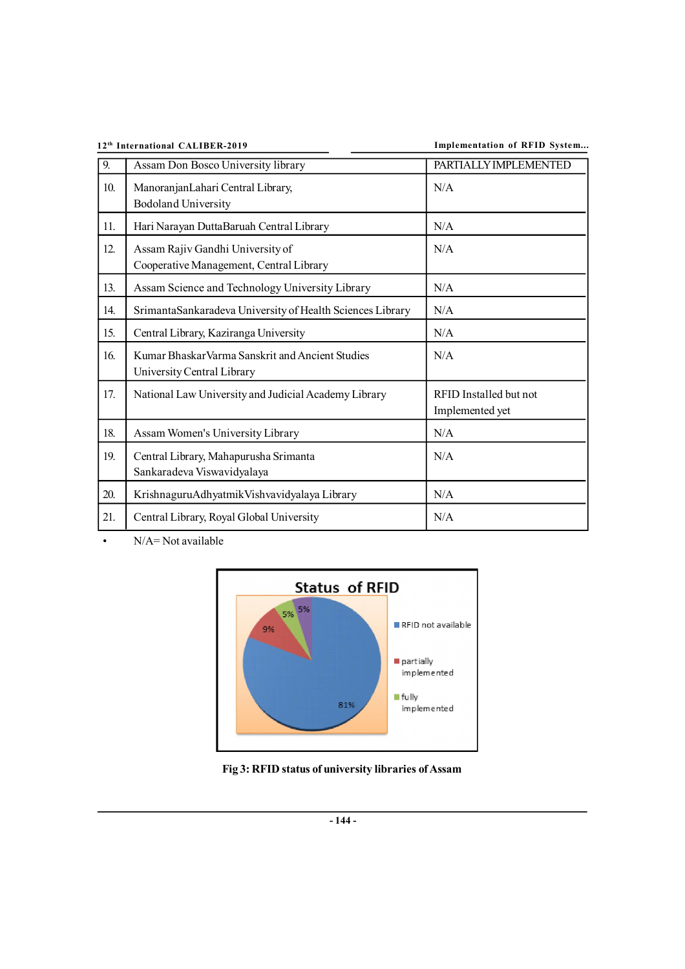**12th International CALIBER-2019 Implementation of RFID System...**

| 9.  | Assam Don Bosco University library                                             | PARTIALLY IMPLEMENTED                     |
|-----|--------------------------------------------------------------------------------|-------------------------------------------|
| 10. | ManoranjanLahari Central Library,<br><b>Bodoland University</b>                | N/A                                       |
| 11. | Hari Narayan DuttaBaruah Central Library                                       | N/A                                       |
| 12. | Assam Rajiv Gandhi University of<br>Cooperative Management, Central Library    | N/A                                       |
| 13. | Assam Science and Technology University Library                                | N/A                                       |
| 14. | SrimantaSankaradeva University of Health Sciences Library                      | N/A                                       |
| 15. | Central Library, Kaziranga University                                          | N/A                                       |
| 16. | Kumar Bhaskar Varma Sanskrit and Ancient Studies<br>University Central Library | N/A                                       |
| 17. | National Law University and Judicial Academy Library                           | RFID Installed but not<br>Implemented yet |
| 18. | Assam Women's University Library                                               | N/A                                       |
| 19. | Central Library, Mahapurusha Srimanta<br>Sankaradeva Viswavidyalaya            | N/A                                       |
| 20. | KrishnaguruAdhyatmikVishvavidyalaya Library                                    | N/A                                       |
| 21. | Central Library, Royal Global University                                       | N/A                                       |

• N/A= Not available



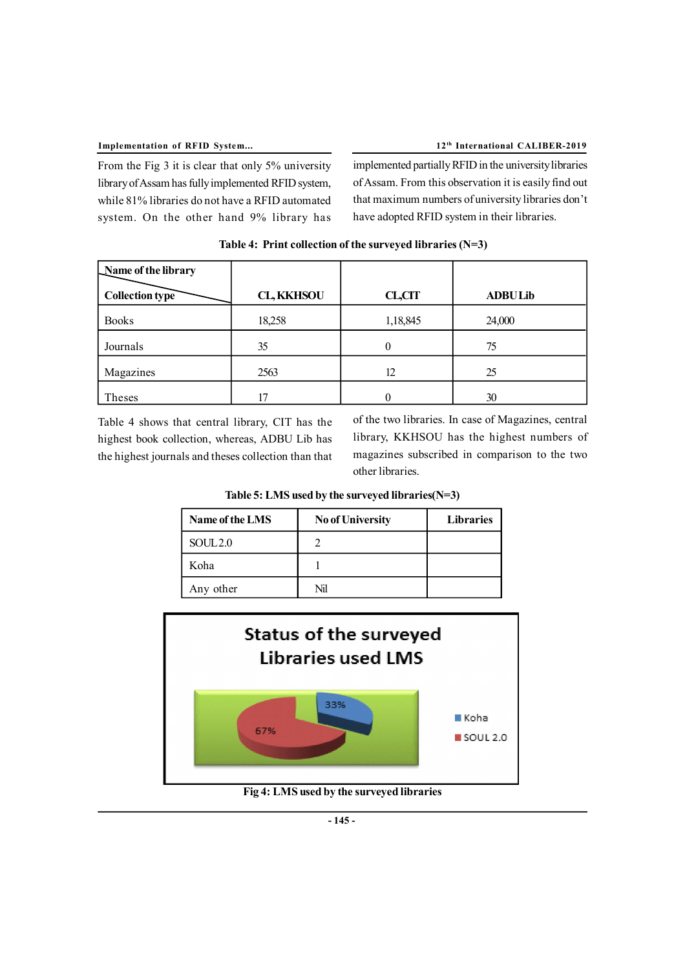From the Fig 3 it is clear that only 5% university library of Assam has fully implemented RFID system, while 81% libraries do not have a RFID automated system. On the other hand 9% library has

implemented partially RFID in the university libraries of Assam. From this observation it is easily find out that maximum numbers of university libraries don't have adopted RFID system in their libraries.

| Name of the library |                   |          |                |
|---------------------|-------------------|----------|----------------|
| Collection type     | <b>CL, KKHSOU</b> | CL,CIT   | <b>ADBULib</b> |
| <b>Books</b>        | 18,258            | 1,18,845 | 24,000         |
| Journals            | 35                | 0        | 75             |
| Magazines           | 2563              | 12       | 25             |
| Theses              | 17                |          | 30             |

 **Table 4: Print collection of the surveyed libraries (N=3)**

Table 4 shows that central library, CIT has the highest book collection, whereas, ADBU Lib has the highest journals and theses collection than that of the two libraries. In case of Magazines, central library, KKHSOU has the highest numbers of magazines subscribed in comparison to the two other libraries.

| Table 5: LMS used by the surveyed libraries(N=3) |  |  |
|--------------------------------------------------|--|--|
|                                                  |  |  |

| Name of the LMS     | <b>No of University</b> | <b>Libraries</b> |
|---------------------|-------------------------|------------------|
| SOUL <sub>2.0</sub> |                         |                  |
| Koha                |                         |                  |
| Any other           | Nil                     |                  |



**Fig 4: LMS used by the surveyed libraries**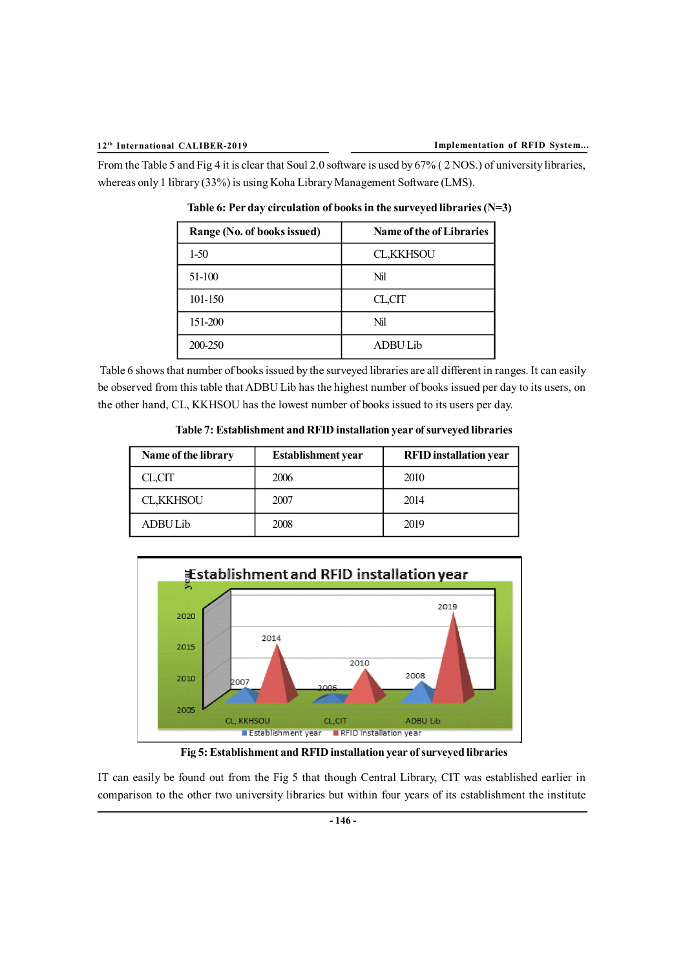From the Table 5 and Fig 4 it is clear that Soul 2.0 software is used by 67% ( 2 NOS.) of university libraries, whereas only 1 library (33%) is using Koha Library Management Software (LMS).

| Range (No. of books issued) | <b>Name of the of Libraries</b> |
|-----------------------------|---------------------------------|
| $1-50$                      | <b>CL,KKHSOU</b>                |
| 51-100                      | Nil                             |
| 101-150                     | CL,CIT                          |
| 151-200                     | Nil                             |
| 200-250                     | <b>ADBU Lib</b>                 |

**Table 6: Per day circulation of books in the surveyed libraries (N=3)**

 Table 6 shows that number of books issued by the surveyed libraries are all different in ranges. It can easily be observed from this table that ADBU Lib has the highest number of books issued per day to its users, on the other hand, CL, KKHSOU has the lowest number of books issued to its users per day.

 **Table 7: Establishment and RFID installation year of surveyed libraries**

| Name of the library | <b>Establishment</b> year | <b>RFID</b> installation year |
|---------------------|---------------------------|-------------------------------|
| CL.CIT              | 2006                      | 2010                          |
| <b>CL,KKHSOU</b>    | 2007                      | 2014                          |
| ADBU Lib            | 2008                      | 2019                          |



 **Fig 5: Establishment and RFID installation year of surveyed libraries**

IT can easily be found out from the Fig 5 that though Central Library, CIT was established earlier in comparison to the other two university libraries but within four years of its establishment the institute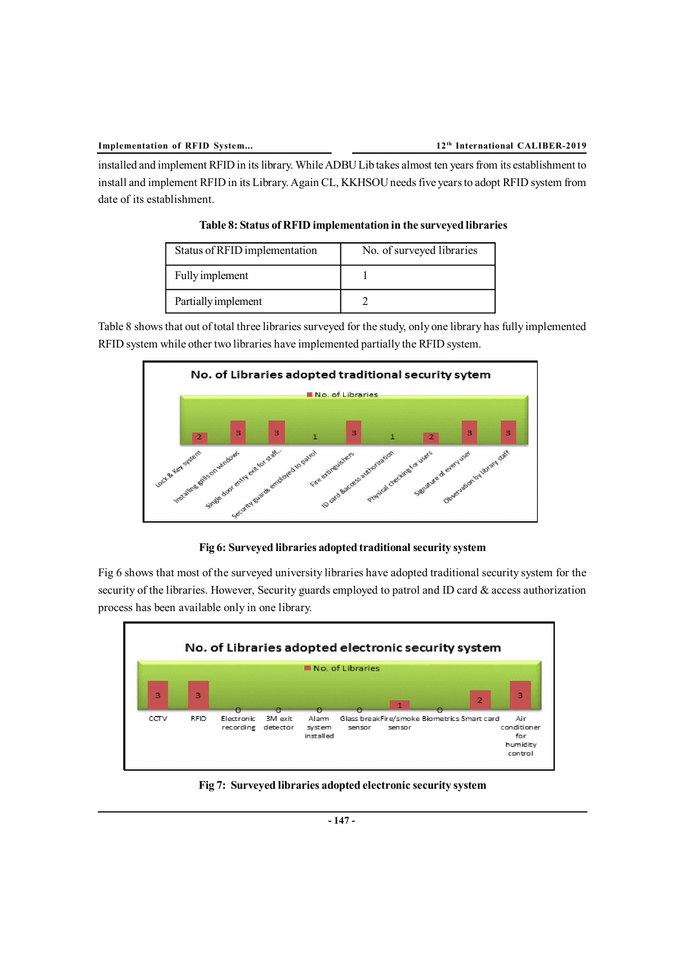installed and implement RFID in its library. While ADBU Lib takes almost ten years from its establishment to install and implement RFID in its Library. Again CL, KKHSOU needs five years to adopt RFID system from date of its establishment.

| Status of RFID implementation | No. of surveyed libraries |
|-------------------------------|---------------------------|
| Fully implement               |                           |
| Partially implement           |                           |

**Table 8: Status of RFID implementation in the surveyed libraries**

Table 8 shows that out of total three libraries surveyed for the study, only one library has fully implemented RFID system while other two libraries have implemented partially the RFID system.



**Fig 6: Surveyed libraries adopted traditional security system**

Fig 6 shows that most of the surveyed university libraries have adopted traditional security system for the security of the libraries. However, Security guards employed to patrol and ID card  $\&$  access authorization process has been available only in one library.



**Fig 7: Surveyed libraries adopted electronic security system**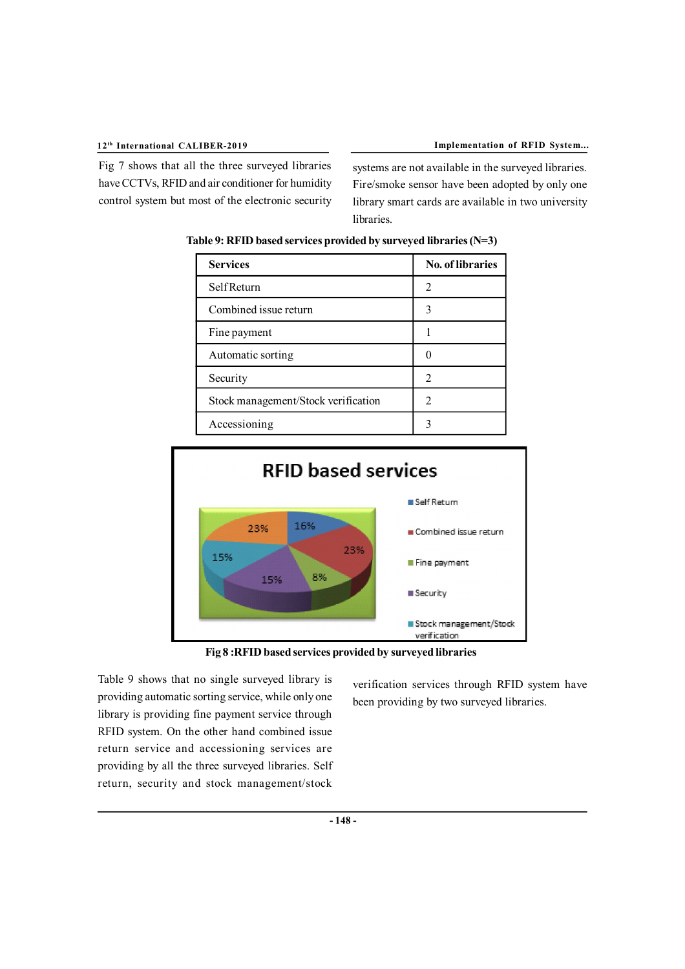Fig 7 shows that all the three surveyed libraries have CCTVs, RFID and air conditioner for humidity control system but most of the electronic security systems are not available in the surveyed libraries. Fire/smoke sensor have been adopted by only one library smart cards are available in two university

| <b>Services</b>                     | No. of libraries            |  |
|-------------------------------------|-----------------------------|--|
| <b>Self Return</b>                  | 2                           |  |
| Combined issue return               | 3                           |  |
| Fine payment                        |                             |  |
| Automatic sorting                   |                             |  |
| Security                            | 2                           |  |
| Stock management/Stock verification | $\mathcal{D}_{\mathcal{A}}$ |  |
| Accessioning                        |                             |  |

 **Table 9: RFID based services provided by surveyed libraries (N=3)**

libraries.



**Fig 8 :RFID based services provided by surveyed libraries**

Table 9 shows that no single surveyed library is providing automatic sorting service, while only one library is providing fine payment service through RFID system. On the other hand combined issue return service and accessioning services are providing by all the three surveyed libraries. Self return, security and stock management/stock

verification services through RFID system have been providing by two surveyed libraries.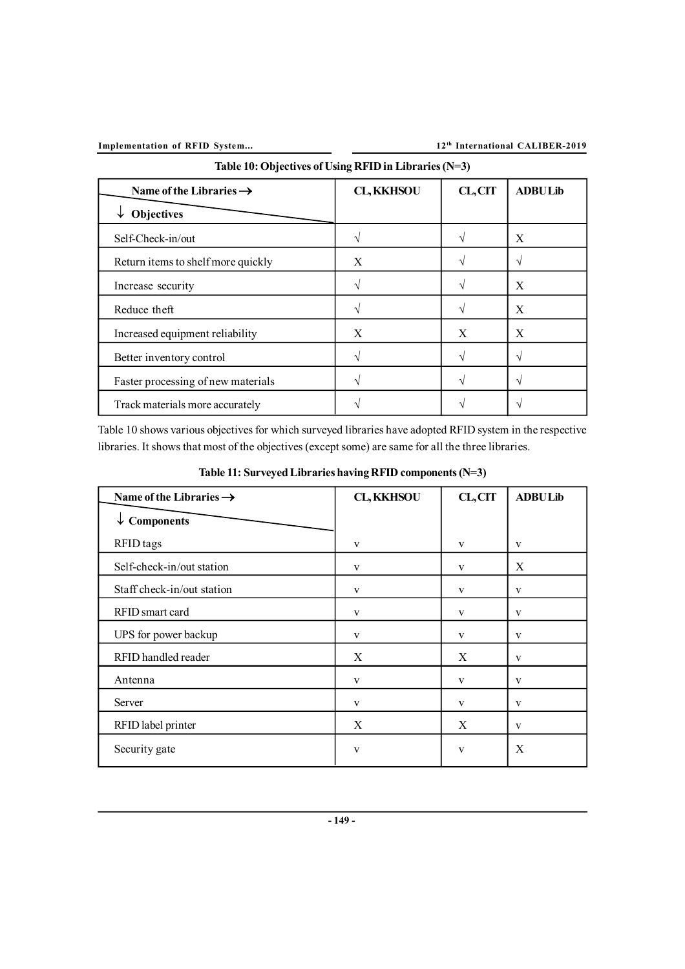**Implementation of RFID System... 12<sup>th</sup> International CALIBER-2019** 

| Table 10: Objectives of Using RFID in Libraries (N=3) |                   |         |                |
|-------------------------------------------------------|-------------------|---------|----------------|
| Name of the Libraries $\rightarrow$                   | <b>CL, KKHSOU</b> | CL, CIT | <b>ADBULib</b> |
| <b>Objectives</b>                                     |                   |         |                |
| Self-Check-in/out                                     |                   |         | X              |
| Return items to shelf more quickly                    | X                 |         | V              |
| Increase security                                     |                   |         | X              |
| Reduce theft                                          |                   |         | X              |
| Increased equipment reliability                       | X                 | X       | X              |
| Better inventory control                              |                   |         | V              |
| Faster processing of new materials                    |                   |         | $\mathcal{N}$  |
| Track materials more accurately                       |                   |         |                |

Table 10 shows various objectives for which surveyed libraries have adopted RFID system in the respective libraries. It shows that most of the objectives (except some) are same for all the three libraries.

| Name of the Libraries $\rightarrow$ | <b>CL, KKHSOU</b> | CL, CIT | <b>ADBULib</b> |
|-------------------------------------|-------------------|---------|----------------|
| $\downarrow$ Components             |                   |         |                |
| RFID tags                           | V                 | V       | V              |
| Self-check-in/out station           | V                 | V       | X              |
| Staff check-in/out station          | V                 | V       | V              |
| RFID smart card                     | V                 | V       | V              |
| UPS for power backup                | V                 | V       | V              |
| RFID handled reader                 | X                 | X       | V              |
| Antenna                             | V                 | V       | V              |
| Server                              | V                 | V       | V              |
| RFID label printer                  | X                 | X       | V              |
| Security gate                       | V                 | V       | X              |

**Table 11: Surveyed Libraries having RFID components (N=3)**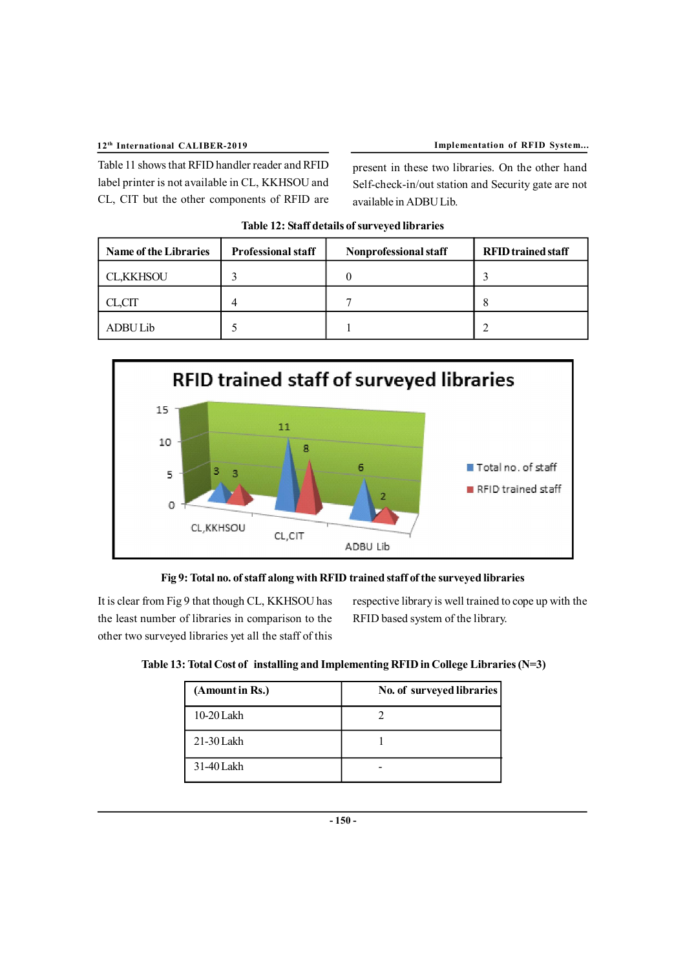Table 11 shows that RFID handler reader and RFID label printer is not available in CL, KKHSOU and CL, CIT but the other components of RFID are present in these two libraries. On the other hand Self-check-in/out station and Security gate are not available in ADBU Lib.

| <b>Name of the Libraries</b> | <b>Professional staff</b> | Nonprofessional staff | <b>RFID</b> trained staff |
|------------------------------|---------------------------|-----------------------|---------------------------|
| <b>CL,KKHSOU</b>             |                           |                       |                           |
| CL,CIT                       | 4                         |                       |                           |
| ADBU Lib                     |                           |                       |                           |







It is clear from Fig 9 that though CL, KKHSOU has the least number of libraries in comparison to the other two surveyed libraries yet all the staff of this respective library is well trained to cope up with the RFID based system of the library.

| Table 13: Total Cost of installing and Implementing RFID in College Libraries $(N=3)$ |  |
|---------------------------------------------------------------------------------------|--|
|                                                                                       |  |

| (Amount in Rs.) | No. of surveyed libraries |
|-----------------|---------------------------|
| $10-20$ Lakh    |                           |
| $21-30$ Lakh    |                           |
| 31-40 Lakh      |                           |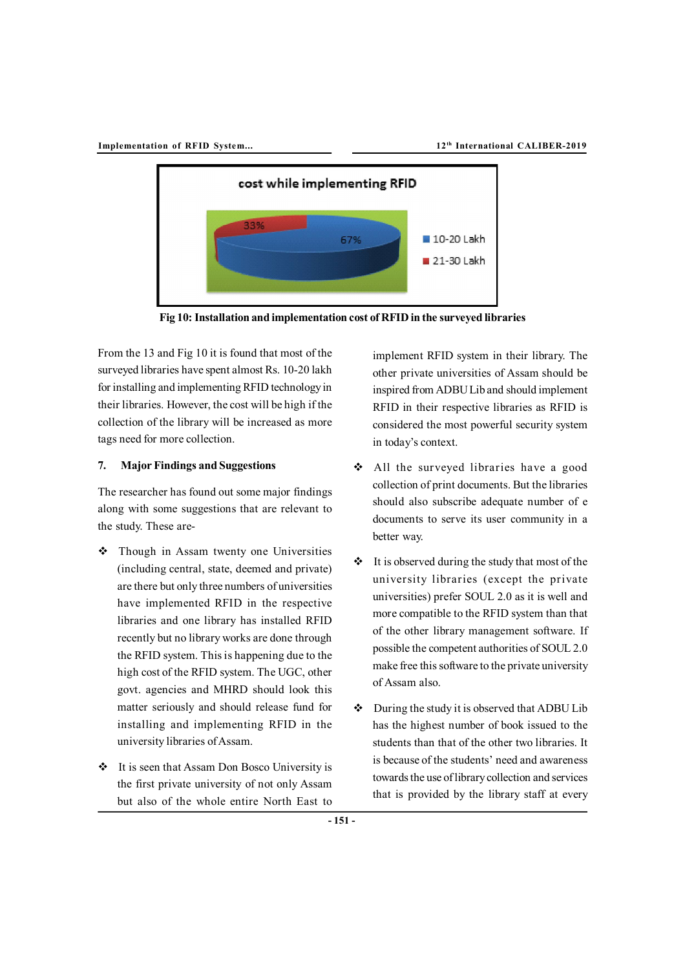

**Fig 10: Installation and implementation cost of RFID in the surveyed libraries**

From the 13 and Fig 10 it is found that most of the surveyed libraries have spent almost Rs. 10-20 lakh for installing and implementing RFID technology in their libraries. However, the cost will be high if the collection of the library will be increased as more tags need for more collection.

## **7. Major Findings and Suggestions**

The researcher has found out some major findings along with some suggestions that are relevant to the study. These are-

- Though in Assam twenty one Universities (including central, state, deemed and private) are there but only three numbers of universities have implemented RFID in the respective libraries and one library has installed RFID recently but no library works are done through the RFID system. This is happening due to the high cost of the RFID system. The UGC, other govt. agencies and MHRD should look this matter seriously and should release fund for installing and implementing RFID in the university libraries of Assam.
- It is seen that Assam Don Bosco University is the first private university of not only Assam but also of the whole entire North East to

implement RFID system in their library. The other private universities of Assam should be inspired from ADBU Lib and should implement RFID in their respective libraries as RFID is considered the most powerful security system in today's context.

- All the surveyed libraries have a good collection of print documents. But the libraries should also subscribe adequate number of e documents to serve its user community in a better way.
- $\cdot \cdot$  It is observed during the study that most of the university libraries (except the private universities) prefer SOUL 2.0 as it is well and more compatible to the RFID system than that of the other library management software. If possible the competent authorities of SOUL 2.0 make free this software to the private university of Assam also.
- $\bullet$  During the study it is observed that ADBU Lib has the highest number of book issued to the students than that of the other two libraries. It is because of the students' need and awareness towards the use of library collection and services that is provided by the library staff at every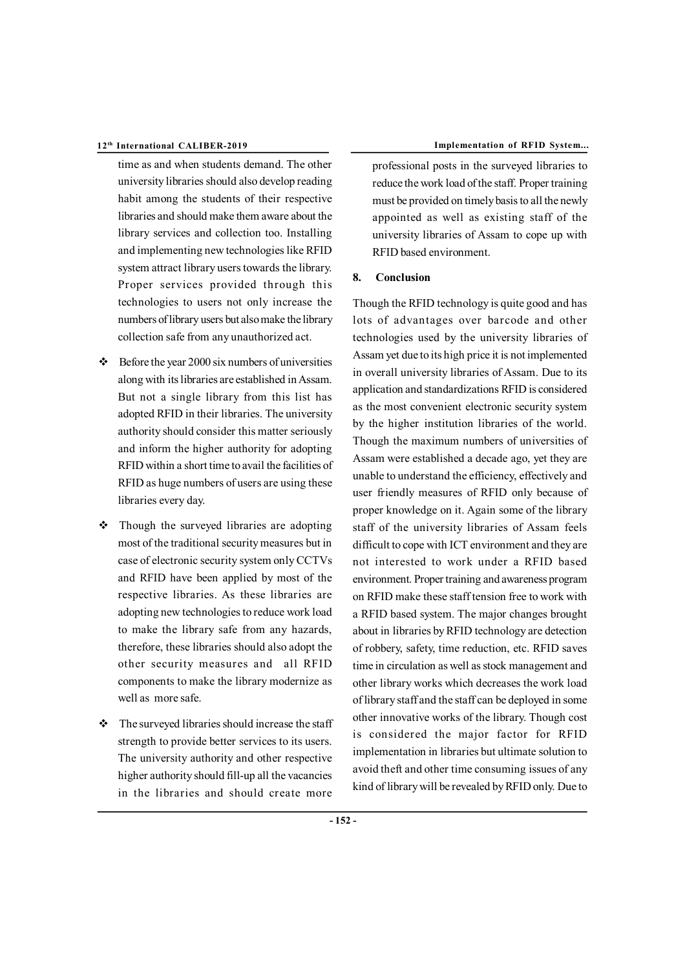- time as and when students demand. The other university libraries should also develop reading habit among the students of their respective libraries and should make them aware about the library services and collection too. Installing and implementing new technologies like RFID system attract library users towards the library. Proper services provided through this technologies to users not only increase the numbers of library users but also make the library collection safe from any unauthorized act.
- $\div$  Before the year 2000 six numbers of universities along with its libraries are established in Assam. But not a single library from this list has adopted RFID in their libraries. The university authority should consider this matter seriously and inform the higher authority for adopting RFID within a short time to avail the facilities of RFID as huge numbers of users are using these libraries every day.
- $\div$  Though the surveyed libraries are adopting most of the traditional security measures but in case of electronic security system only CCTVs and RFID have been applied by most of the respective libraries. As these libraries are adopting new technologies to reduce work load to make the library safe from any hazards, therefore, these libraries should also adopt the other security measures and all RFID components to make the library modernize as well as more safe.
- $\div$  The surveyed libraries should increase the staff strength to provide better services to its users. The university authority and other respective higher authority should fill-up all the vacancies in the libraries and should create more

professional posts in the surveyed libraries to reduce the work load of the staff. Proper training must be provided on timely basis to all the newly appointed as well as existing staff of the university libraries of Assam to cope up with RFID based environment.

#### **8. Conclusion**

Though the RFID technology is quite good and has lots of advantages over barcode and other technologies used by the university libraries of Assam yet due to its high price it is not implemented in overall university libraries of Assam. Due to its application and standardizations RFID is considered as the most convenient electronic security system by the higher institution libraries of the world. Though the maximum numbers of universities of Assam were established a decade ago, yet they are unable to understand the efficiency, effectively and user friendly measures of RFID only because of proper knowledge on it. Again some of the library staff of the university libraries of Assam feels difficult to cope with ICT environment and they are not interested to work under a RFID based environment. Proper training and awareness program on RFID make these staff tension free to work with a RFID based system. The major changes brought about in libraries by RFID technology are detection of robbery, safety, time reduction, etc. RFID saves time in circulation as well as stock management and other library works which decreases the work load of library staff and the staff can be deployed in some other innovative works of the library. Though cost is considered the major factor for RFID implementation in libraries but ultimate solution to avoid theft and other time consuming issues of any kind of library will be revealed by RFID only. Due to